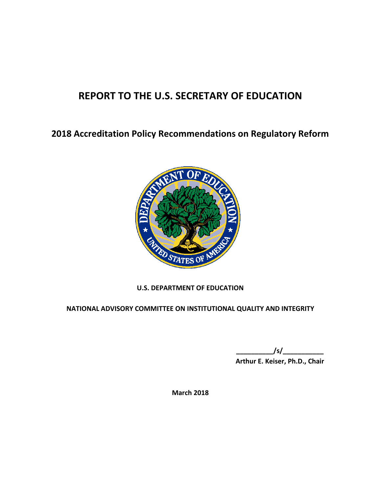# **REPORT TO THE U.S. SECRETARY OF EDUCATION**

**2018 Accreditation Policy Recommendations on Regulatory Reform**



# **U.S. DEPARTMENT OF EDUCATION**

**NATIONAL ADVISORY COMMITTEE ON INSTITUTIONAL QUALITY AND INTEGRITY**

**\_\_\_\_\_\_\_\_\_\_/s/\_\_\_\_\_\_\_\_\_\_\_ Arthur E. Keiser, Ph.D., Chair**

**March 2018**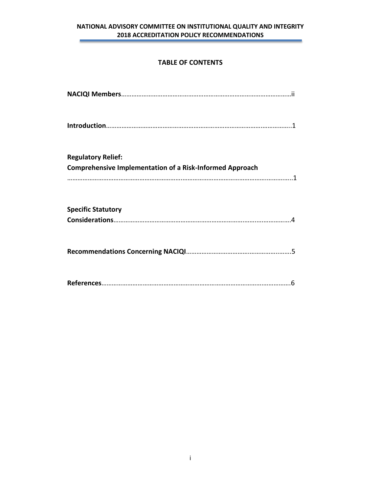# **TABLE OF CONTENTS**

| <b>Regulatory Relief:</b>                                       |
|-----------------------------------------------------------------|
| <b>Comprehensive Implementation of a Risk-Informed Approach</b> |
|                                                                 |
|                                                                 |
| <b>Specific Statutory</b>                                       |
|                                                                 |
|                                                                 |
|                                                                 |
|                                                                 |
|                                                                 |
|                                                                 |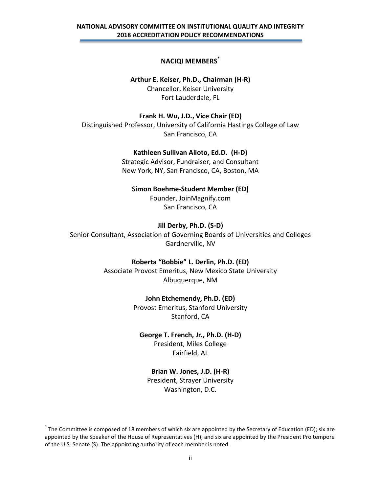# **NACIQI MEMBERS**\*

**Arthur E. Keiser, Ph.D., Chairman (H-R)** Chancellor, Keiser University Fort Lauderdale, FL

**Frank H. Wu, J.D., Vice Chair (ED)** Distinguished Professor, University of California Hastings College of Law San Francisco, CA

## **Kathleen Sullivan Alioto, Ed.D. (H-D)**

Strategic Advisor, Fundraiser, and Consultant New York, NY, San Francisco, CA, Boston, MA

#### **Simon Boehme-Student Member (ED)**

Founder, JoinMagnify.com San Francisco, CA

#### **Jill Derby, Ph.D. (S-D)**

Senior Consultant, Association of Governing Boards of Universities and Colleges Gardnerville, NV

#### **Roberta "Bobbie" L. Derlin, Ph.D. (ED)**

Associate Provost Emeritus, New Mexico State University Albuquerque, NM

#### **John Etchemendy, Ph.D. (ED)**

Provost Emeritus, Stanford University Stanford, CA

#### **George T. French, Jr., Ph.D. (H-D)**

President, Miles College Fairfield, AL

#### **Brian W. Jones, J.D. (H-R)**

President, Strayer University Washington, D.C.

 $\overline{\phantom{a}}$ 

<sup>\*</sup> The Committee is composed of 18 members of which six are appointed by the Secretary of Education (ED); six are appointed by the Speaker of the House of Representatives (H); and six are appointed by the President Pro tempore of the U.S. Senate (S). The appointing authority of each member is noted.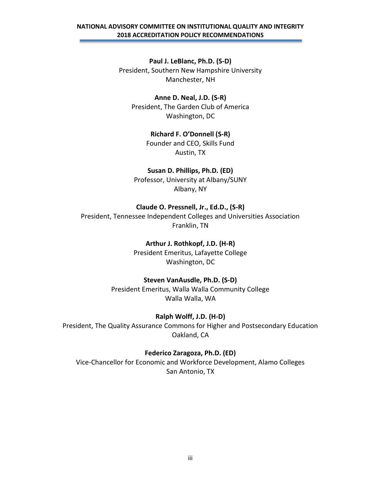**Paul J. LeBlanc, Ph.D. (S-D)** President, Southern New Hampshire University Manchester, NH

**Anne D. Neal, J.D. (S-R)** President, The Garden Club of America Washington, DC

> **Richard F. O'Donnell (S-R)** Founder and CEO, Skills Fund

> > Austin, TX

**Susan D. Phillips, Ph.D. (ED)** Professor, University at Albany/SUNY

Albany, NY

## **Claude O. Pressnell, Jr., Ed.D., (S-R)**

President, Tennessee Independent Colleges and Universities Association Franklin, TN

#### **Arthur J. Rothkopf, J.D. (H-R)**

President Emeritus, Lafayette College Washington, DC

#### **Steven VanAusdle, Ph.D. (S-D)**

President Emeritus, Walla Walla Community College Walla Walla, WA

## **Ralph Wolff, J.D. (H-D)**

President, The Quality Assurance Commons for Higher and Postsecondary Education Oakland, CA

#### **Federico Zaragoza, Ph.D. (ED)**

Vice-Chancellor for Economic and Workforce Development, Alamo Colleges San Antonio, TX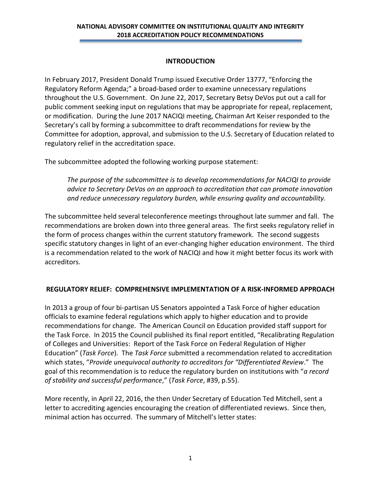# **INTRODUCTION**

In February 2017, President Donald Trump issued Executive Order 13777, "Enforcing the Regulatory Reform Agenda;" a broad-based order to examine unnecessary regulations throughout the U.S. Government. On June 22, 2017, Secretary Betsy DeVos put out a call for public comment seeking input on regulations that may be appropriate for repeal, replacement, or modification. During the June 2017 NACIQI meeting, Chairman Art Keiser responded to the Secretary's call by forming a subcommittee to draft recommendations for review by the Committee for adoption, approval, and submission to the U.S. Secretary of Education related to regulatory relief in the accreditation space.

The subcommittee adopted the following working purpose statement:

*The purpose of the subcommittee is to develop recommendations for NACIQI to provide advice to Secretary DeVos on an approach to accreditation that can promote innovation and reduce unnecessary regulatory burden, while ensuring quality and accountability.* 

The subcommittee held several teleconference meetings throughout late summer and fall. The recommendations are broken down into three general areas. The first seeks regulatory relief in the form of process changes within the current statutory framework. The second suggests specific statutory changes in light of an ever-changing higher education environment. The third is a recommendation related to the work of NACIQI and how it might better focus its work with accreditors.

# **REGULATORY RELIEF: COMPREHENSIVE IMPLEMENTATION OF A RISK-INFORMED APPROACH**

In 2013 a group of four bi-partisan US Senators appointed a Task Force of higher education officials to examine federal regulations which apply to higher education and to provide recommendations for change. The American Council on Education provided staff support for the Task Force. In 2015 the Council published its final report entitled, "Recalibrating Regulation of Colleges and Universities: Report of the Task Force on Federal Regulation of Higher Education" (*Task Force*). The *Task Force* submitted a recommendation related to accreditation which states, "*Provide unequivocal authority to accreditors for "Differentiated Review*." The goal of this recommendation is to reduce the regulatory burden on institutions with "*a record of stability and successful performance*," (*Task Force*, #39, p.55).

More recently, in April 22, 2016, the then Under Secretary of Education Ted Mitchell, sent a letter to accrediting agencies encouraging the creation of differentiated reviews. Since then, minimal action has occurred. The summary of Mitchell's letter states: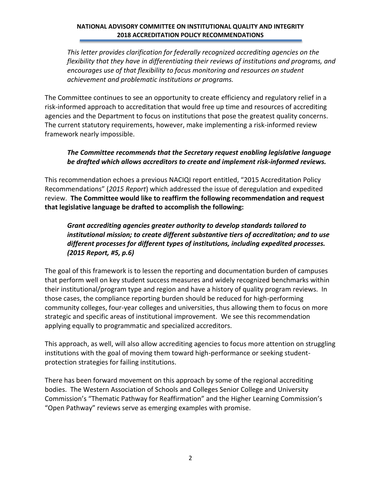*This letter provides clarification for federally recognized accrediting agencies on the flexibility that they have in differentiating their reviews of institutions and programs, and encourages use of that flexibility to focus monitoring and resources on student achievement and problematic institutions or programs.*

The Committee continues to see an opportunity to create efficiency and regulatory relief in a risk-informed approach to accreditation that would free up time and resources of accrediting agencies and the Department to focus on institutions that pose the greatest quality concerns. The current statutory requirements, however, make implementing a risk-informed review framework nearly impossible.

# *The Committee recommends that the Secretary request enabling legislative language be drafted which allows accreditors to create and implement risk-informed reviews.*

This recommendation echoes a previous NACIQI report entitled, "2015 Accreditation Policy Recommendations" (*2015 Report*) which addressed the issue of deregulation and expedited review. **The Committee would like to reaffirm the following recommendation and request that legislative language be drafted to accomplish the following:**

# *Grant accrediting agencies greater authority to develop standards tailored to institutional mission; to create different substantive tiers of accreditation; and to use different processes for different types of institutions, including expedited processes. (2015 Report, #5, p.6)*

The goal of this framework is to lessen the reporting and documentation burden of campuses that perform well on key student success measures and widely recognized benchmarks within their institutional/program type and region and have a history of quality program reviews. In those cases, the compliance reporting burden should be reduced for high-performing community colleges, four-year colleges and universities, thus allowing them to focus on more strategic and specific areas of institutional improvement. We see this recommendation applying equally to programmatic and specialized accreditors.

This approach, as well, will also allow accrediting agencies to focus more attention on struggling institutions with the goal of moving them toward high-performance or seeking studentprotection strategies for failing institutions.

There has been forward movement on this approach by some of the regional accrediting bodies. The Western Association of Schools and Colleges Senior College and University Commission's "Thematic Pathway for Reaffirmation" and the Higher Learning Commission's "Open Pathway" reviews serve as emerging examples with promise.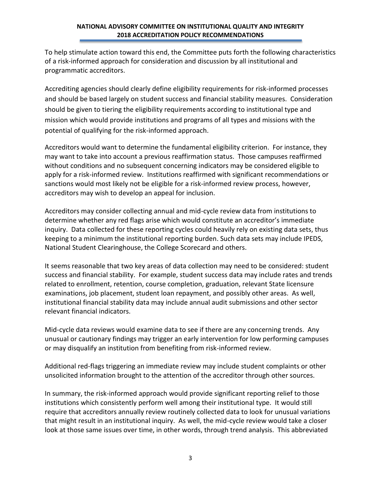To help stimulate action toward this end, the Committee puts forth the following characteristics of a risk-informed approach for consideration and discussion by all institutional and programmatic accreditors.

Accrediting agencies should clearly define eligibility requirements for risk-informed processes and should be based largely on student success and financial stability measures. Consideration should be given to tiering the eligibility requirements according to institutional type and mission which would provide institutions and programs of all types and missions with the potential of qualifying for the risk-informed approach.

Accreditors would want to determine the fundamental eligibility criterion. For instance, they may want to take into account a previous reaffirmation status. Those campuses reaffirmed without conditions and no subsequent concerning indicators may be considered eligible to apply for a risk-informed review. Institutions reaffirmed with significant recommendations or sanctions would most likely not be eligible for a risk-informed review process, however, accreditors may wish to develop an appeal for inclusion.

Accreditors may consider collecting annual and mid-cycle review data from institutions to determine whether any red flags arise which would constitute an accreditor's immediate inquiry. Data collected for these reporting cycles could heavily rely on existing data sets, thus keeping to a minimum the institutional reporting burden. Such data sets may include IPEDS, National Student Clearinghouse, the College Scorecard and others.

It seems reasonable that two key areas of data collection may need to be considered: student success and financial stability. For example, student success data may include rates and trends related to enrollment, retention, course completion, graduation, relevant State licensure examinations, job placement, student loan repayment, and possibly other areas. As well, institutional financial stability data may include annual audit submissions and other sector relevant financial indicators.

Mid-cycle data reviews would examine data to see if there are any concerning trends. Any unusual or cautionary findings may trigger an early intervention for low performing campuses or may disqualify an institution from benefiting from risk-informed review.

Additional red-flags triggering an immediate review may include student complaints or other unsolicited information brought to the attention of the accreditor through other sources.

In summary, the risk-informed approach would provide significant reporting relief to those institutions which consistently perform well among their institutional type. It would still require that accreditors annually review routinely collected data to look for unusual variations that might result in an institutional inquiry. As well, the mid-cycle review would take a closer look at those same issues over time, in other words, through trend analysis. This abbreviated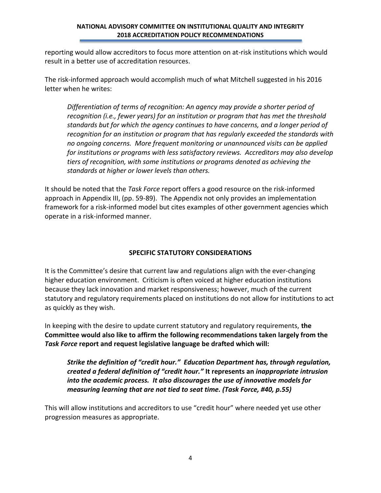reporting would allow accreditors to focus more attention on at-risk institutions which would result in a better use of accreditation resources.

The risk-informed approach would accomplish much of what Mitchell suggested in his 2016 letter when he writes:

*Differentiation of terms of recognition: An agency may provide a shorter period of recognition (i.e., fewer years) for an institution or program that has met the threshold standards but for which the agency continues to have concerns, and a longer period of recognition for an institution or program that has regularly exceeded the standards with no ongoing concerns. More frequent monitoring or unannounced visits can be applied for institutions or programs with less satisfactory reviews. Accreditors may also develop tiers of recognition, with some institutions or programs denoted as achieving the standards at higher or lower levels than others.*

It should be noted that the *Task Force* report offers a good resource on the risk-informed approach in Appendix III, (pp. 59-89). The Appendix not only provides an implementation framework for a risk-informed model but cites examples of other government agencies which operate in a risk-informed manner.

# **SPECIFIC STATUTORY CONSIDERATIONS**

It is the Committee's desire that current law and regulations align with the ever-changing higher education environment. Criticism is often voiced at higher education institutions because they lack innovation and market responsiveness; however, much of the current statutory and regulatory requirements placed on institutions do not allow for institutions to act as quickly as they wish.

In keeping with the desire to update current statutory and regulatory requirements, **the Committee would also like to affirm the following recommendations taken largely from the**  *Task Force* **report and request legislative language be drafted which will:**

*Strike the definition of "credit hour." Education Department has, through regulation, created a federal definition of "credit hour."* **It represents an** *inappropriate intrusion into the academic process. It also discourages the use of innovative models for measuring learning that are not tied to seat time. (Task Force, #40, p.55)*

This will allow institutions and accreditors to use "credit hour" where needed yet use other progression measures as appropriate.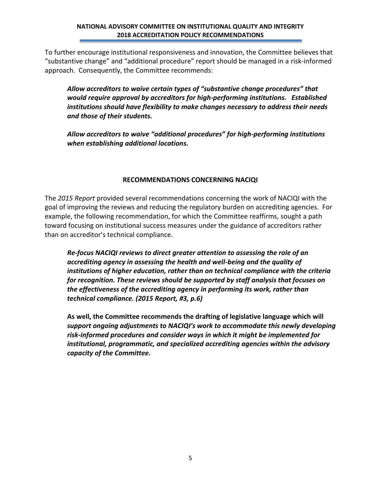To further encourage institutional responsiveness and innovation, the Committee believes that "substantive change" and "additional procedure" report should be managed in a risk-informed approach. Consequently, the Committee recommends:

*Allow accreditors to waive certain types of "substantive change procedures" that would require approval by accreditors for high-performing institutions. Established institutions should have flexibility to make changes necessary to address their needs and those of their students.*

*Allow accreditors to waive "additional procedures" for high-performing institutions when establishing additional locations.*

# **RECOMMENDATIONS CONCERNING NACIQI**

The *2015 Report* provided several recommendations concerning the work of NACIQI with the goal of improving the reviews and reducing the regulatory burden on accrediting agencies. For example, the following recommendation, for which the Committee reaffirms, sought a path toward focusing on institutional success measures under the guidance of accreditors rather than on accreditor's technical compliance.

*Re-focus NACIQI reviews to direct greater attention to assessing the role of an accrediting agency in assessing the health and well-being and the quality of institutions of higher education, rather than on technical compliance with the criteria for recognition. These reviews should be supported by staff analysis that focuses on the effectiveness of the accrediting agency in performing its work, rather than technical compliance. (2015 Report, #3, p.6)*

**As well, the Committee recommends the drafting of legislative language which will**  *support ongoing adjustments to NACIQI's work to accommodate this newly developing risk-informed procedures and consider ways in which it might be implemented for institutional, programmatic, and specialized accrediting agencies within the advisory capacity of the Committee.*